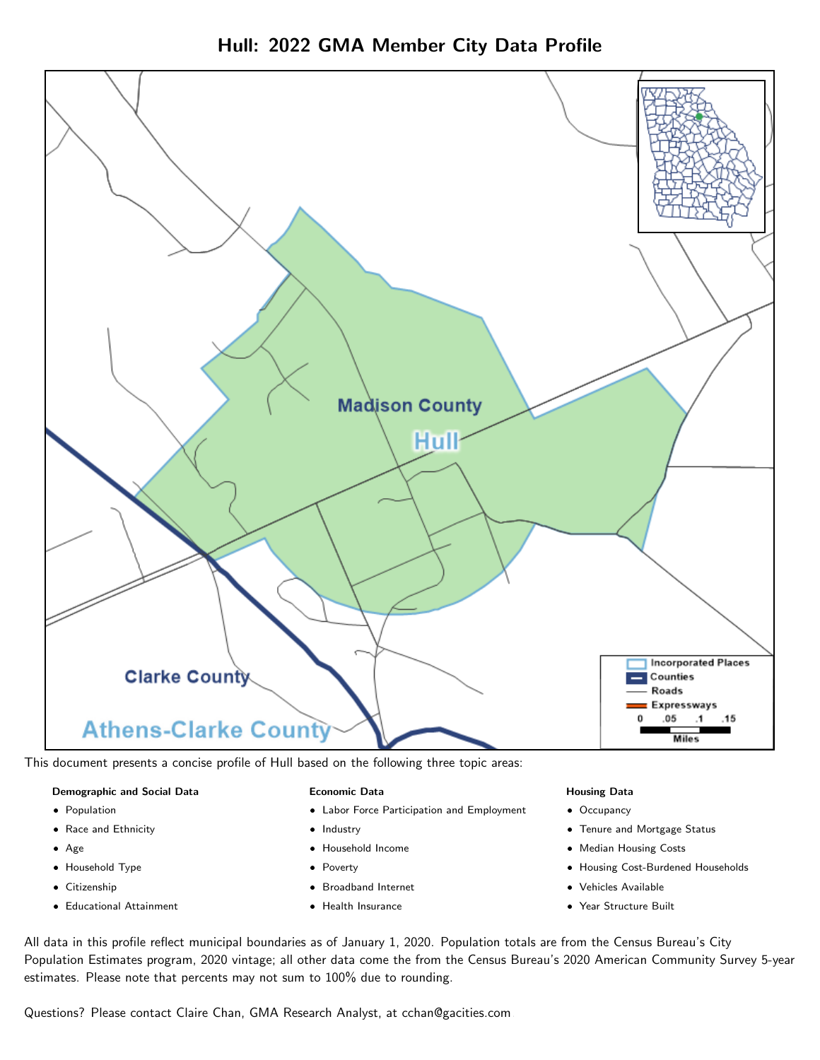



This document presents a concise profile of Hull based on the following three topic areas:

#### Demographic and Social Data

- **•** Population
- Race and Ethnicity
- Age
- Household Type
- **Citizenship**
- Educational Attainment

#### Economic Data

- Labor Force Participation and Employment
- Industry
- Household Income
- Poverty
- Broadband Internet
- Health Insurance

#### Housing Data

- Occupancy
- Tenure and Mortgage Status
- Median Housing Costs
- Housing Cost-Burdened Households
- Vehicles Available
- Year Structure Built

All data in this profile reflect municipal boundaries as of January 1, 2020. Population totals are from the Census Bureau's City Population Estimates program, 2020 vintage; all other data come the from the Census Bureau's 2020 American Community Survey 5-year estimates. Please note that percents may not sum to 100% due to rounding.

Questions? Please contact Claire Chan, GMA Research Analyst, at [cchan@gacities.com.](mailto:cchan@gacities.com)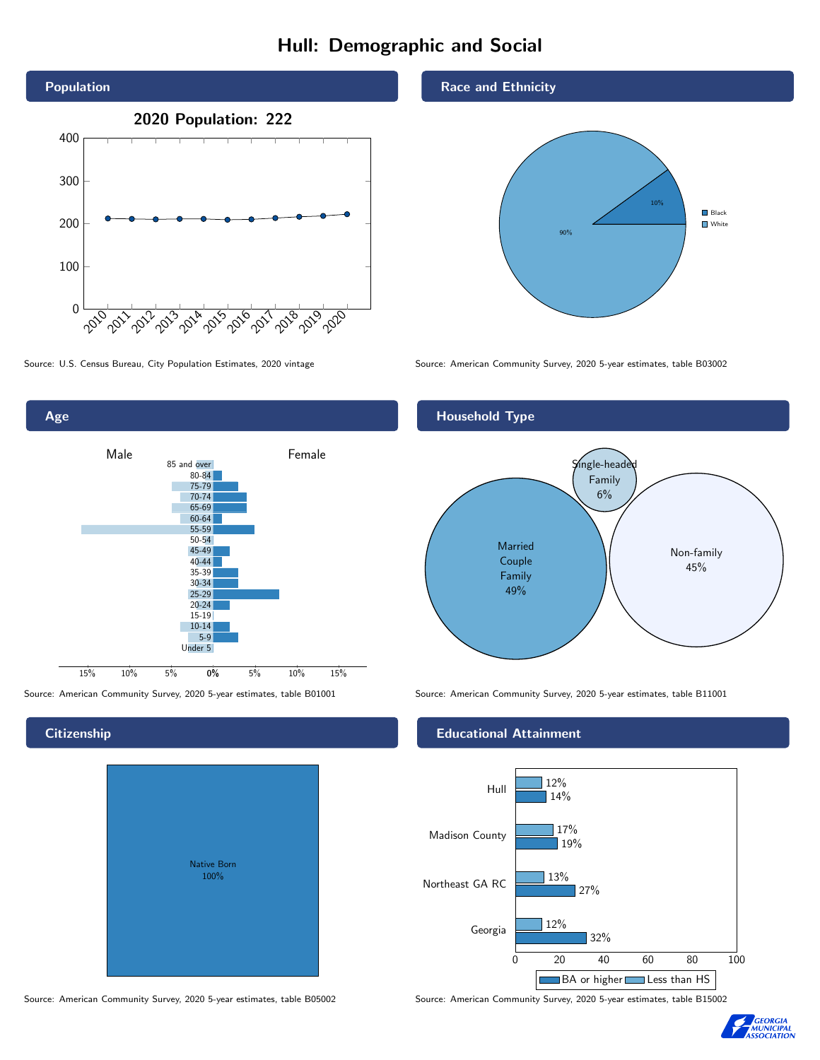# Hull: Demographic and Social





**Citizenship** 

# Native Born 100%

Race and Ethnicity



Source: U.S. Census Bureau, City Population Estimates, 2020 vintage Source: American Community Survey, 2020 5-year estimates, table B03002



Source: American Community Survey, 2020 5-year estimates, table B01001 Source: American Community Survey, 2020 5-year estimates, table B11001

#### Educational Attainment



Source: American Community Survey, 2020 5-year estimates, table B05002 Source: American Community Survey, 2020 5-year estimates, table B15002

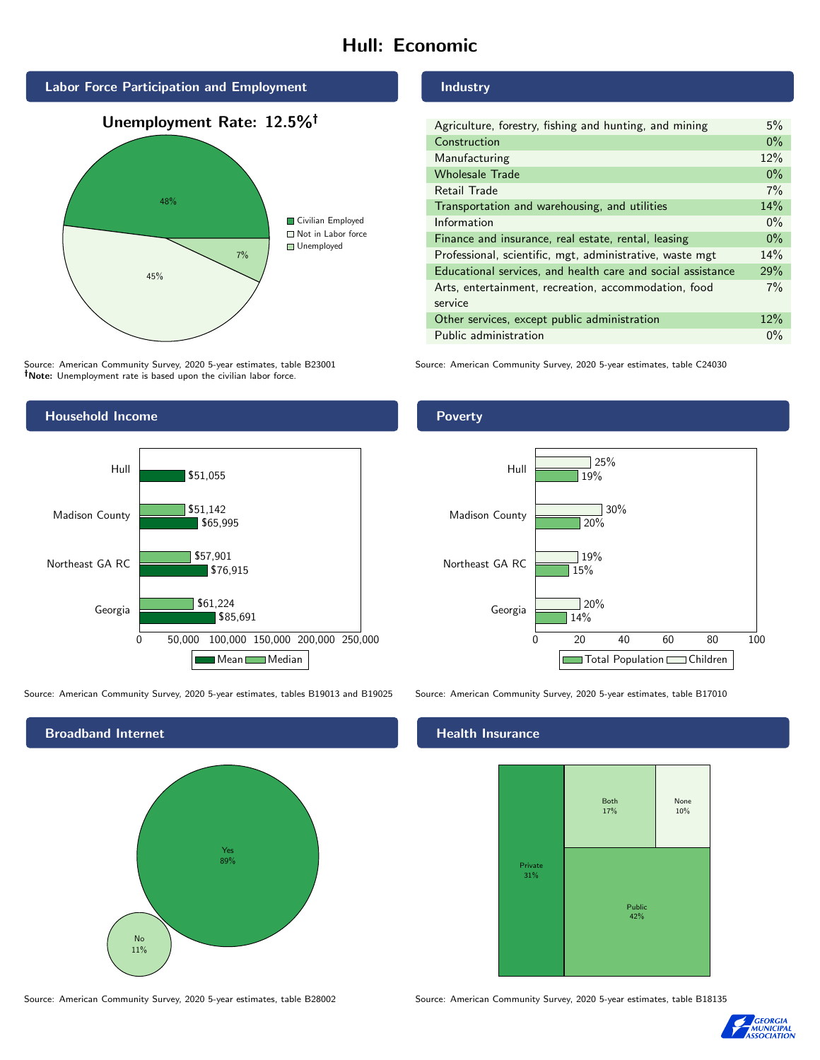# Hull: Economic



Source: American Community Survey, 2020 5-year estimates, table B23001 Note: Unemployment rate is based upon the civilian labor force.

#### Industry

| Agriculture, forestry, fishing and hunting, and mining      | 5%    |
|-------------------------------------------------------------|-------|
| Construction                                                | $0\%$ |
| Manufacturing                                               | 12%   |
| <b>Wholesale Trade</b>                                      | $0\%$ |
| Retail Trade                                                | 7%    |
| Transportation and warehousing, and utilities               | 14%   |
| Information                                                 | $0\%$ |
| Finance and insurance, real estate, rental, leasing         | $0\%$ |
| Professional, scientific, mgt, administrative, waste mgt    | 14%   |
| Educational services, and health care and social assistance | 29%   |
| Arts, entertainment, recreation, accommodation, food        | 7%    |
| service                                                     |       |
| Other services, except public administration                | 12%   |
| Public administration                                       | $0\%$ |

Source: American Community Survey, 2020 5-year estimates, table C24030



Source: American Community Survey, 2020 5-year estimates, tables B19013 and B19025 Source: American Community Survey, 2020 5-year estimates, table B17010



Poverty



### **Health Insurance**



Source: American Community Survey, 2020 5-year estimates, table B28002 Source: American Community Survey, 2020 5-year estimates, table B18135